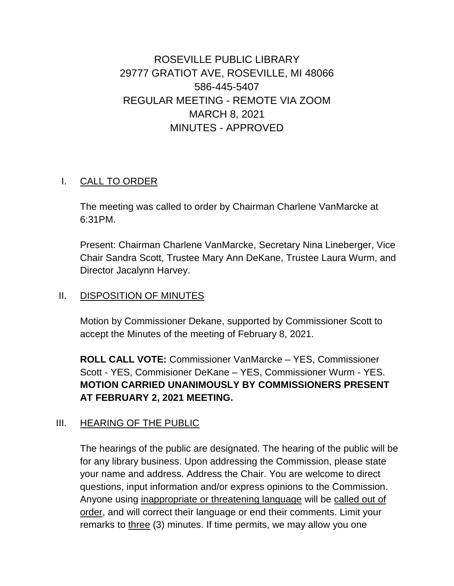# ROSEVILLE PUBLIC LIBRARY 29777 GRATIOT AVE, ROSEVILLE, MI 48066 586-445-5407 REGULAR MEETING - REMOTE VIA ZOOM MARCH 8, 2021 MINUTES - APPROVED

#### I. CALL TO ORDER

The meeting was called to order by Chairman Charlene VanMarcke at 6:31PM.

Present: Chairman Charlene VanMarcke, Secretary Nina Lineberger, Vice Chair Sandra Scott, Trustee Mary Ann DeKane, Trustee Laura Wurm, and Director Jacalynn Harvey.

#### II. DISPOSITION OF MINUTES

Motion by Commissioner Dekane, supported by Commissioner Scott to accept the Minutes of the meeting of February 8, 2021.

**ROLL CALL VOTE:** Commissioner VanMarcke – YES, Commissioner Scott - YES, Commisioner DeKane – YES, Commissioner Wurm - YES. **MOTION CARRIED UNANIMOUSLY BY COMMISSIONERS PRESENT AT FEBRUARY 2, 2021 MEETING.**

#### III. HEARING OF THE PUBLIC

The hearings of the public are designated. The hearing of the public will be for any library business. Upon addressing the Commission, please state your name and address. Address the Chair. You are welcome to direct questions, input information and/or express opinions to the Commission. Anyone using inappropriate or threatening language will be called out of order, and will correct their language or end their comments. Limit your remarks to three (3) minutes. If time permits, we may allow you one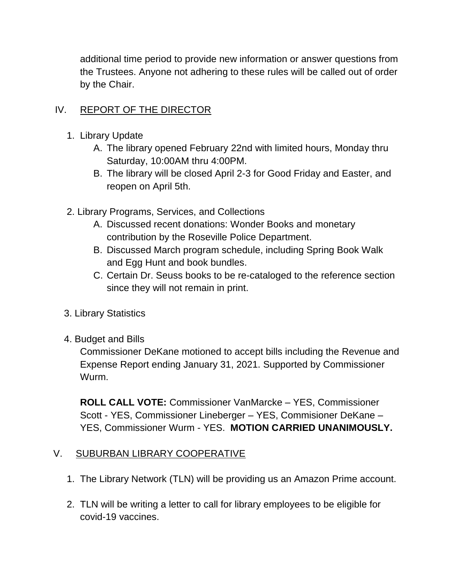additional time period to provide new information or answer questions from the Trustees. Anyone not adhering to these rules will be called out of order by the Chair.

## IV. REPORT OF THE DIRECTOR

- 1. Library Update
	- A. The library opened February 22nd with limited hours, Monday thru Saturday, 10:00AM thru 4:00PM.
	- B. The library will be closed April 2-3 for Good Friday and Easter, and reopen on April 5th.
- 2. Library Programs, Services, and Collections
	- A. Discussed recent donations: Wonder Books and monetary contribution by the Roseville Police Department.
	- B. Discussed March program schedule, including Spring Book Walk and Egg Hunt and book bundles.
	- C. Certain Dr. Seuss books to be re-cataloged to the reference section since they will not remain in print.
- 3. Library Statistics
- 4. Budget and Bills

Commissioner DeKane motioned to accept bills including the Revenue and Expense Report ending January 31, 2021. Supported by Commissioner Wurm.

**ROLL CALL VOTE:** Commissioner VanMarcke – YES, Commissioner Scott - YES, Commissioner Lineberger – YES, Commisioner DeKane – YES, Commissioner Wurm - YES. **MOTION CARRIED UNANIMOUSLY.**

#### V. SUBURBAN LIBRARY COOPERATIVE

- 1. The Library Network (TLN) will be providing us an Amazon Prime account.
- 2. TLN will be writing a letter to call for library employees to be eligible for covid-19 vaccines.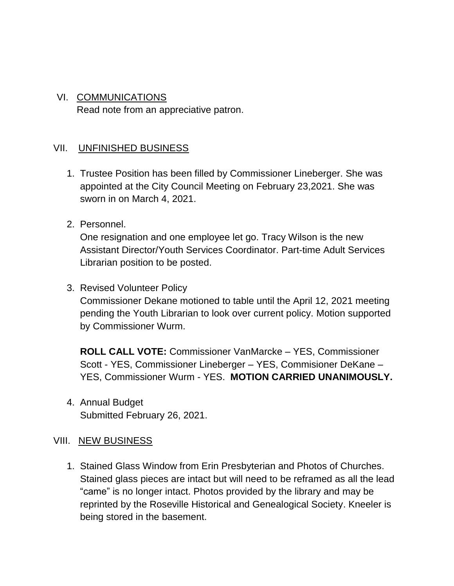# VI. COMMUNICATIONS Read note from an appreciative patron.

## VII. UNFINISHED BUSINESS

- 1. Trustee Position has been filled by Commissioner Lineberger. She was appointed at the City Council Meeting on February 23,2021. She was sworn in on March 4, 2021.
- 2. Personnel.

One resignation and one employee let go. Tracy Wilson is the new Assistant Director/Youth Services Coordinator. Part-time Adult Services Librarian position to be posted.

3. Revised Volunteer Policy

Commissioner Dekane motioned to table until the April 12, 2021 meeting pending the Youth Librarian to look over current policy. Motion supported by Commissioner Wurm.

**ROLL CALL VOTE:** Commissioner VanMarcke – YES, Commissioner Scott - YES, Commissioner Lineberger – YES, Commisioner DeKane – YES, Commissioner Wurm - YES. **MOTION CARRIED UNANIMOUSLY.**

4. Annual Budget Submitted February 26, 2021.

#### VIII. NEW BUSINESS

1. Stained Glass Window from Erin Presbyterian and Photos of Churches. Stained glass pieces are intact but will need to be reframed as all the lead "came" is no longer intact. Photos provided by the library and may be reprinted by the Roseville Historical and Genealogical Society. Kneeler is being stored in the basement.